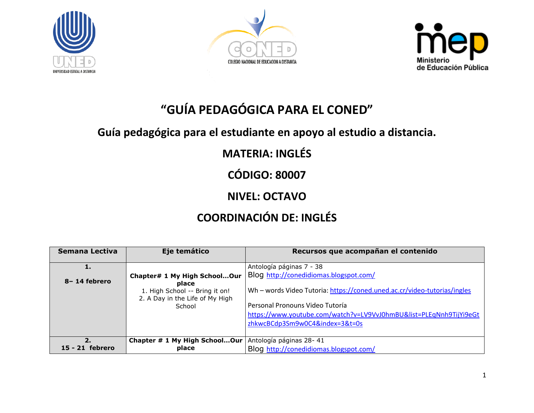





# **"GUÍA PEDAGÓGICA PARA EL CONED"**

### **Guía pedagógica para el estudiante en apoyo al estudio a distancia.**

## **MATERIA: INGLÉS**

**CÓDIGO: 80007**

### **NIVEL: OCTAVO**

## **COORDINACIÓN DE: INGLÉS**

| Semana Lectiva  | Eje temático                                                               | Recursos que acompañan el contenido                                      |
|-----------------|----------------------------------------------------------------------------|--------------------------------------------------------------------------|
|                 |                                                                            | Antología páginas 7 - 38                                                 |
| 8-14 febrero    | Chapter# 1 My High SchoolOur                                               | Blog http://conedidiomas.blogspot.com/                                   |
|                 | place<br>1. High School -- Bring it on!<br>2. A Day in the Life of My High | Wh - words Video Tutoria: https://coned.uned.ac.cr/video-tutorias/ingles |
|                 | School                                                                     | Personal Pronouns Video Tutoría                                          |
|                 |                                                                            | https://www.youtube.com/watch?v=LV9VvJ0hmBU&list=PLEqNnh9TijYi9eGt       |
|                 |                                                                            | zhkwcBCdp3Sm9w0C4&index=3&t=0s                                           |
|                 |                                                                            |                                                                          |
| 2.              | Chapter # 1 My High SchoolOur                                              | Antología páginas 28-41                                                  |
| 15 - 21 febrero | place                                                                      | Blog http://conedidiomas.blogspot.com/                                   |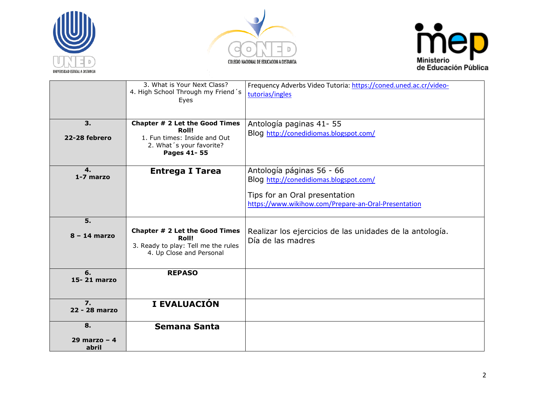





|                                   | 3. What is Your Next Class?<br>4. High School Through my Friend's<br>Eyes                                                  | Frequency Adverbs Video Tutoria: https://coned.uned.ac.cr/video-<br>tutorias/ingles                                                                          |
|-----------------------------------|----------------------------------------------------------------------------------------------------------------------------|--------------------------------------------------------------------------------------------------------------------------------------------------------------|
| 3.<br>22-28 febrero               | Chapter # 2 Let the Good Times<br><b>Roll!</b><br>1. Fun times: Inside and Out<br>2. What 's your favorite?<br>Pages 41-55 | Antología paginas 41-55<br>Blog http://conedidiomas.blogspot.com/                                                                                            |
| 4.<br>1-7 marzo                   | <b>Entrega I Tarea</b>                                                                                                     | Antología páginas 56 - 66<br>Blog http://conedidiomas.blogspot.com/<br>Tips for an Oral presentation<br>https://www.wikihow.com/Prepare-an-Oral-Presentation |
| 5.<br>$8 - 14$ marzo              | Chapter # 2 Let the Good Times<br>Roll!<br>3. Ready to play: Tell me the rules<br>4. Up Close and Personal                 | Realizar los ejercicios de las unidades de la antología.<br>Día de las madres                                                                                |
| 6.<br>15-21 marzo                 | <b>REPASO</b>                                                                                                              |                                                                                                                                                              |
| $\overline{7}$ .<br>22 - 28 marzo | I EVALUACIÓN                                                                                                               |                                                                                                                                                              |
| 8.<br>29 marzo – $4$<br>abril     | <b>Semana Santa</b>                                                                                                        |                                                                                                                                                              |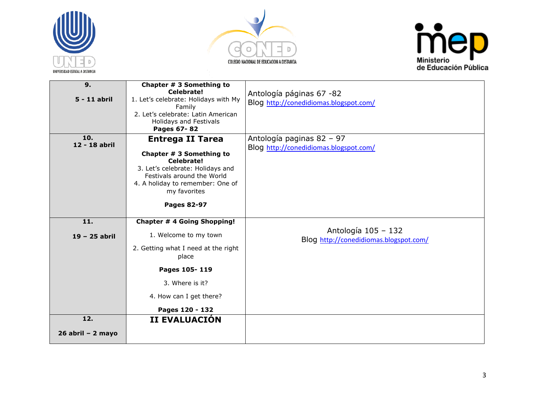





| 9.                   | Chapter # 3 Something to<br>Celebrate!                                                                                                                       |                                                                    |
|----------------------|--------------------------------------------------------------------------------------------------------------------------------------------------------------|--------------------------------------------------------------------|
| 5 - 11 abril         | 1. Let's celebrate: Holidays with My<br>Family                                                                                                               | Antología páginas 67 -82<br>Blog http://conedidiomas.blogspot.com/ |
|                      | 2. Let's celebrate: Latin American<br>Holidays and Festivals<br>Pages 67-82                                                                                  |                                                                    |
| 10.<br>12 - 18 abril | <b>Entrega II Tarea</b>                                                                                                                                      | Antología paginas 82 - 97                                          |
|                      | Chapter # 3 Something to<br>Celebrate!<br>3. Let's celebrate: Holidays and<br>Festivals around the World<br>4. A holiday to remember: One of<br>my favorites | Blog http://conedidiomas.blogspot.com/                             |
|                      | <b>Pages 82-97</b>                                                                                                                                           |                                                                    |
| 11.                  | <b>Chapter # 4 Going Shopping!</b>                                                                                                                           |                                                                    |
| 19 - 25 abril        | 1. Welcome to my town                                                                                                                                        | Antología 105 - 132<br>Blog http://conedidiomas.blogspot.com/      |
|                      | 2. Getting what I need at the right<br>place                                                                                                                 |                                                                    |
|                      | Pages 105-119                                                                                                                                                |                                                                    |
|                      | 3. Where is it?                                                                                                                                              |                                                                    |
|                      | 4. How can I get there?                                                                                                                                      |                                                                    |
|                      | Pages 120 - 132                                                                                                                                              |                                                                    |
| 12.                  | II EVALUACIÓN                                                                                                                                                |                                                                    |
| $26$ abril - 2 mayo  |                                                                                                                                                              |                                                                    |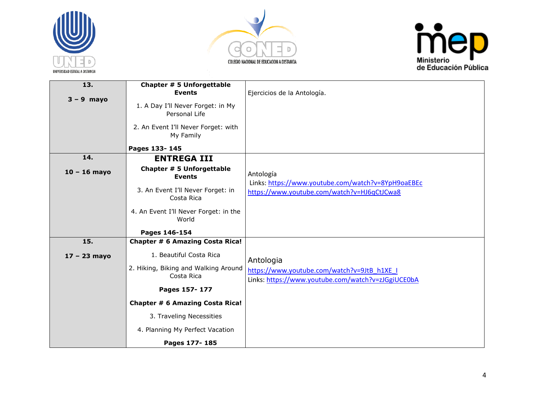





| 13.            | Chapter # 5 Unforgettable                          |                                                                                                   |
|----------------|----------------------------------------------------|---------------------------------------------------------------------------------------------------|
| $3 - 9$ mayo   | <b>Events</b>                                      | Ejercicios de la Antología.                                                                       |
|                | 1. A Day I'll Never Forget: in My<br>Personal Life |                                                                                                   |
|                | 2. An Event I'll Never Forget: with<br>My Family   |                                                                                                   |
|                | Pages 133-145                                      |                                                                                                   |
| 14.            | <b>ENTREGA III</b>                                 |                                                                                                   |
| $10 - 16$ mayo | Chapter # 5 Unforgettable<br><b>Events</b>         | Antología<br>Links: https://www.youtube.com/watch?v=8YpH9oaEBEc                                   |
|                | 3. An Event I'll Never Forget: in<br>Costa Rica    | https://www.youtube.com/watch?v=HJ6qCtJCwa8                                                       |
|                | 4. An Event I'll Never Forget: in the<br>World     |                                                                                                   |
|                | Pages 146-154                                      |                                                                                                   |
| 15.            | Chapter # 6 Amazing Costa Rica!                    |                                                                                                   |
| $17 - 23$ mayo | 1. Beautiful Costa Rica                            | Antologia                                                                                         |
|                | 2. Hiking, Biking and Walking Around<br>Costa Rica | https://www.youtube.com/watch?v=9JtB h1XE I<br>Links: https://www.youtube.com/watch?v=zJGgiUCE0bA |
|                | Pages 157-177                                      |                                                                                                   |
|                | <b>Chapter # 6 Amazing Costa Rica!</b>             |                                                                                                   |
|                | 3. Traveling Necessities                           |                                                                                                   |
|                | 4. Planning My Perfect Vacation                    |                                                                                                   |
|                | Pages 177-185                                      |                                                                                                   |